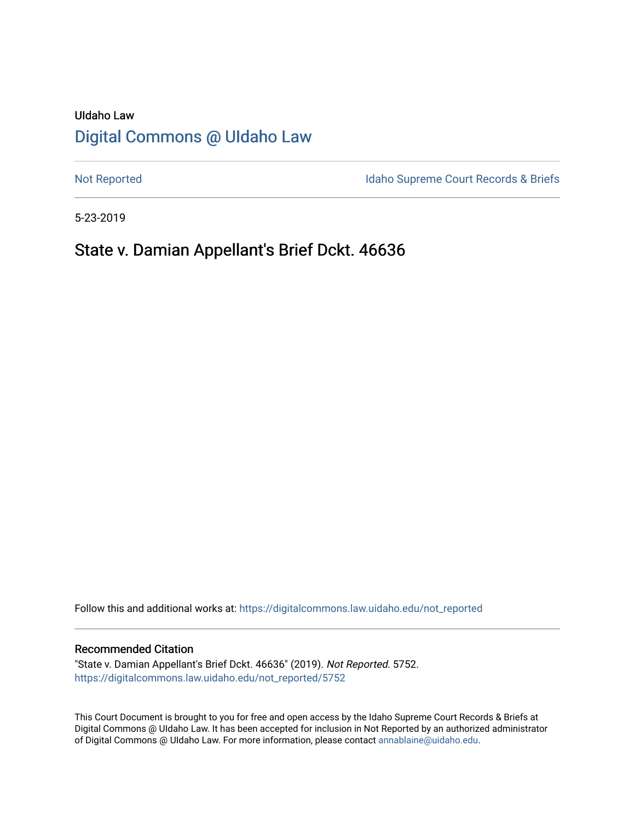# UIdaho Law [Digital Commons @ UIdaho Law](https://digitalcommons.law.uidaho.edu/)

[Not Reported](https://digitalcommons.law.uidaho.edu/not_reported) **Idaho Supreme Court Records & Briefs** 

5-23-2019

# State v. Damian Appellant's Brief Dckt. 46636

Follow this and additional works at: [https://digitalcommons.law.uidaho.edu/not\\_reported](https://digitalcommons.law.uidaho.edu/not_reported?utm_source=digitalcommons.law.uidaho.edu%2Fnot_reported%2F5752&utm_medium=PDF&utm_campaign=PDFCoverPages) 

#### Recommended Citation

"State v. Damian Appellant's Brief Dckt. 46636" (2019). Not Reported. 5752. [https://digitalcommons.law.uidaho.edu/not\\_reported/5752](https://digitalcommons.law.uidaho.edu/not_reported/5752?utm_source=digitalcommons.law.uidaho.edu%2Fnot_reported%2F5752&utm_medium=PDF&utm_campaign=PDFCoverPages)

This Court Document is brought to you for free and open access by the Idaho Supreme Court Records & Briefs at Digital Commons @ UIdaho Law. It has been accepted for inclusion in Not Reported by an authorized administrator of Digital Commons @ UIdaho Law. For more information, please contact [annablaine@uidaho.edu](mailto:annablaine@uidaho.edu).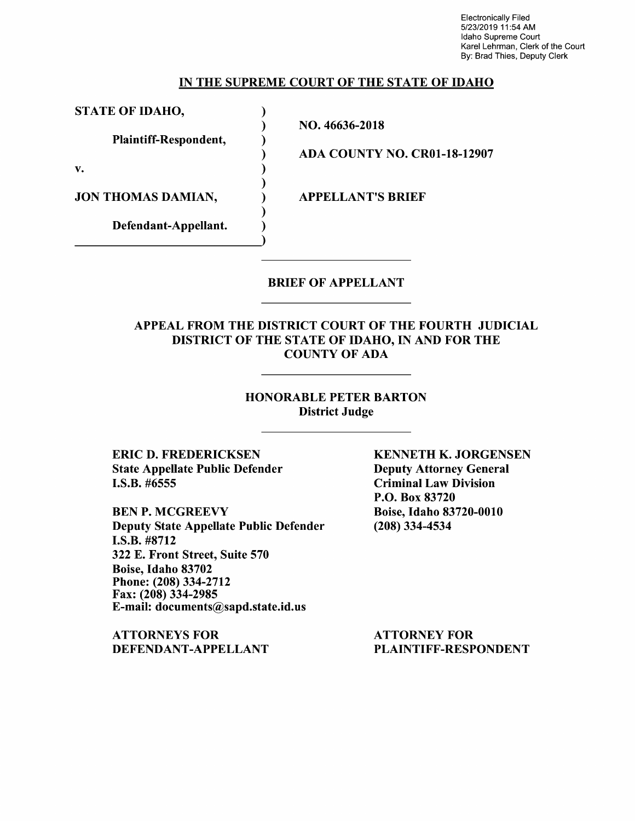Electronically Filed 5/23/2019 11:54 AM Idaho Supreme Court Karel Lehrman, Clerk of the Court By: Brad Thies, Deputy Clerk

#### IN THE SUPREME COURT OF THE STATE OF IDAHO

NO. 46636-2018

ADA COUNTY NO. CR0l-18-12907

STATE OF IDAHO,

Plaintiff-Respondent,

Defendant-Appellant.

v.

JON THOMAS DAMIAN,  $\overline{A}$  appellant's brief

) )

> ) )

) ) )

)

BRIEF OF APPELLANT

### APPEAL FROM THE DISTRICT COURT OF THE FOURTH JUDICIAL DISTRICT OF THE STATE OF IDAHO, IN AND FOR THE COUNTY OF ADA

### HONORABLE PETER BARTON District Judge

ERIC D. FREDERICKSEN State Appellate Public Defender I.S.B. #6555

BEN P. MCGREEVY Deputy State Appellate Public Defender I.S.B. #8712 322 E. Front Street, Suite 570 Boise, Idaho 83702 Phone: (208) 334-2712 Fax: (208) 334-2985 E-mail: documents@sapd.state.id.us

ATTORNEYS FOR DEFENDANT-APPELLANT KENNETH K. JORGENSEN Deputy Attorney General Criminal Law Division **P.O.** Box 83720 Boise, Idaho 83720-0010 (208) 334-4534

ATTORNEY FOR PLAINTIFF-RESPONDENT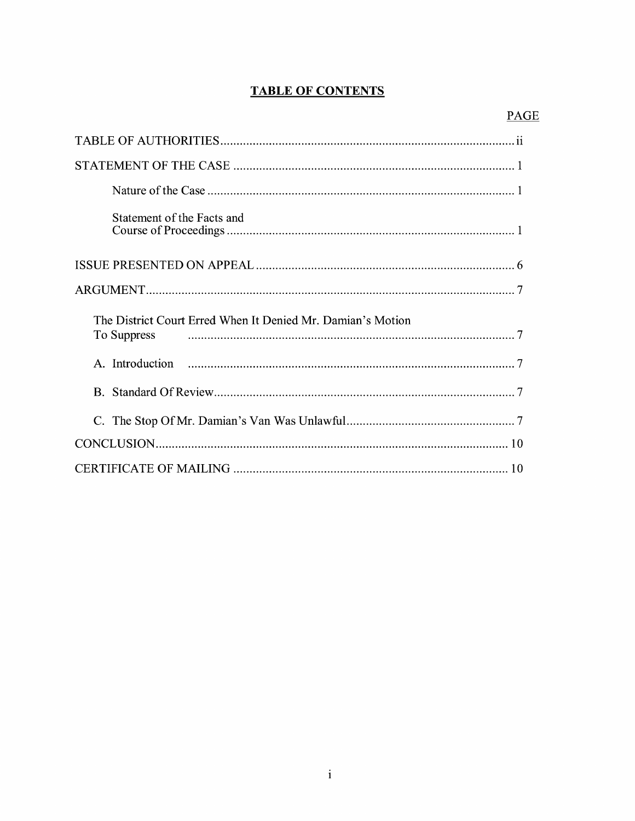## **TABLE OF CONTENTS**

| Statement of the Facts and                                  |
|-------------------------------------------------------------|
|                                                             |
|                                                             |
|                                                             |
| The District Court Erred When It Denied Mr. Damian's Motion |
|                                                             |
|                                                             |
| C.                                                          |
|                                                             |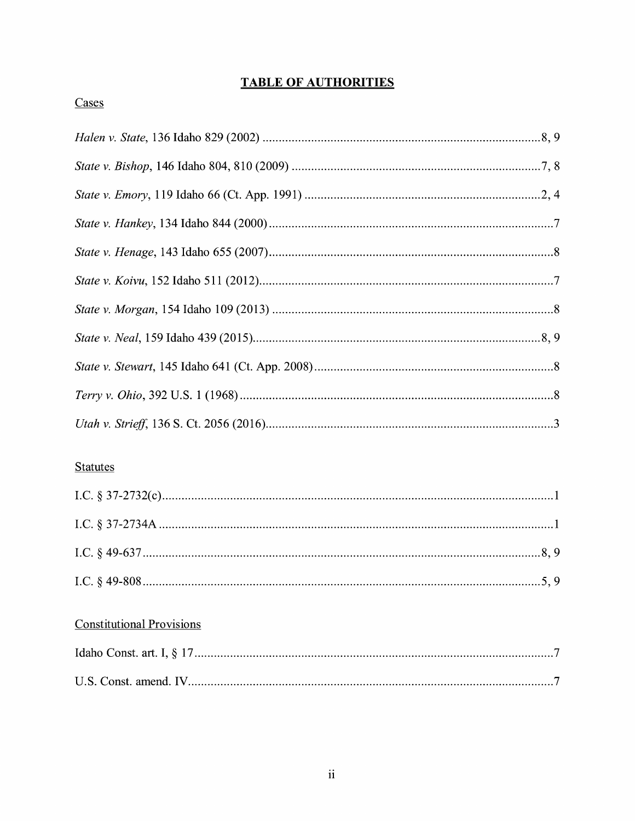# **TABLE OF AUTHORITIES**

## Cases

## **Statutes**

## **Constitutional Provisions**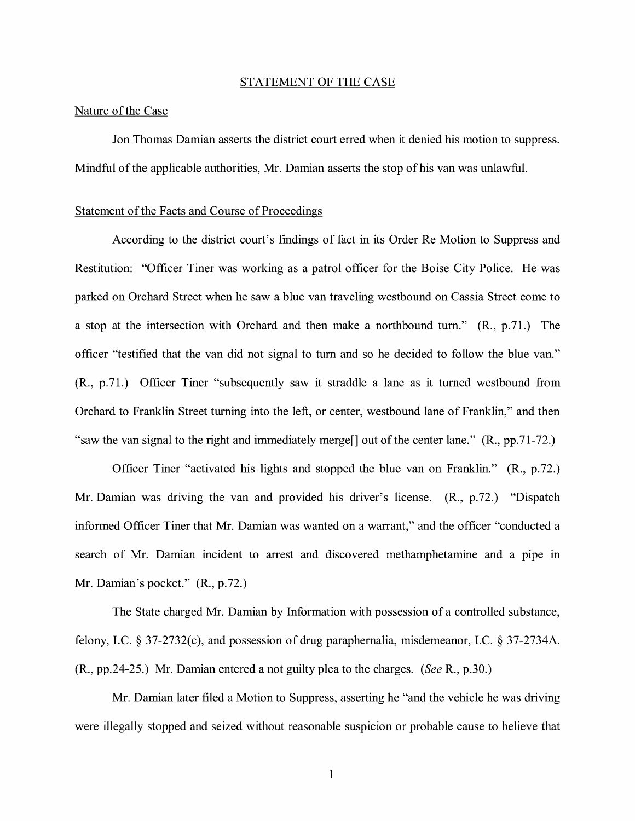#### STATEMENT OF THE CASE

#### Nature of the Case

Jon Thomas Damian asserts the district court erred when it denied his motion to suppress. Mindful of the applicable authorities, Mr. Damian asserts the stop of his van was unlawful.

#### Statement of the Facts and Course of Proceedings

According to the district court's findings of fact in its Order Re Motion to Suppress and Restitution: "Officer Tiner was working as a patrol officer for the Boise City Police. He was parked on Orchard Street when he saw a blue van traveling westbound on Cassia Street come to a stop at the intersection with Orchard and then make a northbound tum." (R., p.71.) The officer "testified that the van did not signal to tum and so he decided to follow the blue van." (R., p.71.) Officer Tiner "subsequently saw it straddle a lane as it turned westbound from Orchard to Franklin Street turning into the left, or center, westbound lane of Franklin," and then "saw the van signal to the right and immediately merge[] out of the center lane." (R., pp.71-72.)

Officer Tiner "activated his lights and stopped the blue van on Franklin." (R., p.72.) Mr. Damian was driving the van and provided his driver's license. (R., p.72.) "Dispatch informed Officer Tiner that Mr. Damian was wanted on a warrant," and the officer "conducted a search of Mr. Damian incident to arrest and discovered methamphetamine and a pipe in Mr. Damian's pocket." (R., p.72.)

The State charged Mr. Damian by Information with possession of a controlled substance, felony, LC. § 37-2732(c), and possession of drug paraphernalia, misdemeanor, LC. § 37-2734A. (R., pp.24-25.) Mr. Damian entered a not guilty plea to the charges. *(See* R., p.30.)

Mr. Damian later filed a Motion to Suppress, asserting he "and the vehicle he was driving were illegally stopped and seized without reasonable suspicion or probable cause to believe that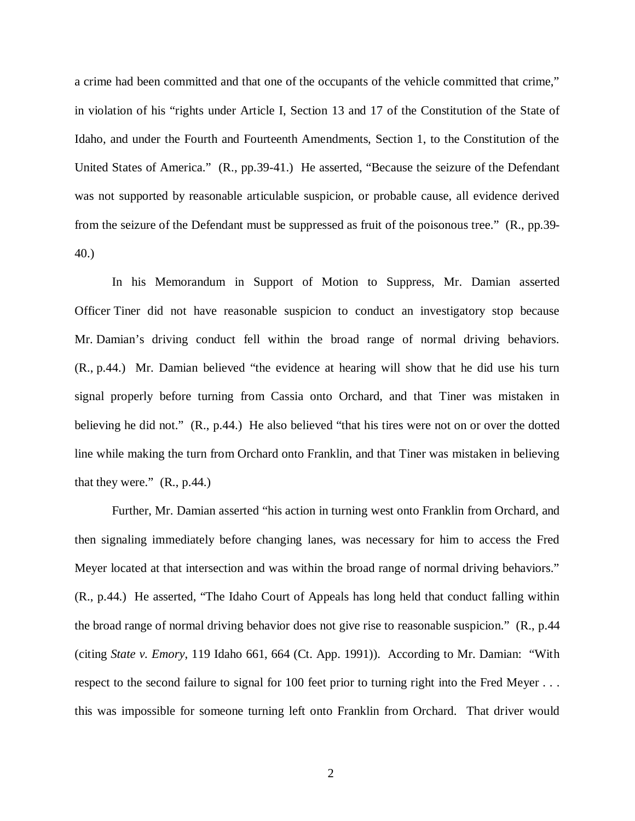a crime had been committed and that one of the occupants of the vehicle committed that crime," in violation of his "rights under Article I, Section 13 and 17 of the Constitution of the State of Idaho, and under the Fourth and Fourteenth Amendments, Section 1, to the Constitution of the United States of America." (R., pp.39-41.) He asserted, "Because the seizure of the Defendant was not supported by reasonable articulable suspicion, or probable cause, all evidence derived from the seizure of the Defendant must be suppressed as fruit of the poisonous tree." (R., pp.39- 40.)

In his Memorandum in Support of Motion to Suppress, Mr. Damian asserted Officer Tiner did not have reasonable suspicion to conduct an investigatory stop because Mr. Damian's driving conduct fell within the broad range of normal driving behaviors. (R., p.44.) Mr. Damian believed "the evidence at hearing will show that he did use his turn signal properly before turning from Cassia onto Orchard, and that Tiner was mistaken in believing he did not." (R., p.44.) He also believed "that his tires were not on or over the dotted line while making the turn from Orchard onto Franklin, and that Tiner was mistaken in believing that they were."  $(R., p.44.)$ 

Further, Mr. Damian asserted "his action in turning west onto Franklin from Orchard, and then signaling immediately before changing lanes, was necessary for him to access the Fred Meyer located at that intersection and was within the broad range of normal driving behaviors." (R., p.44.) He asserted, "The Idaho Court of Appeals has long held that conduct falling within the broad range of normal driving behavior does not give rise to reasonable suspicion." (R., p.44 (citing *State v. Emory*, 119 Idaho 661, 664 (Ct. App. 1991)). According to Mr. Damian: "With respect to the second failure to signal for 100 feet prior to turning right into the Fred Meyer . . . this was impossible for someone turning left onto Franklin from Orchard. That driver would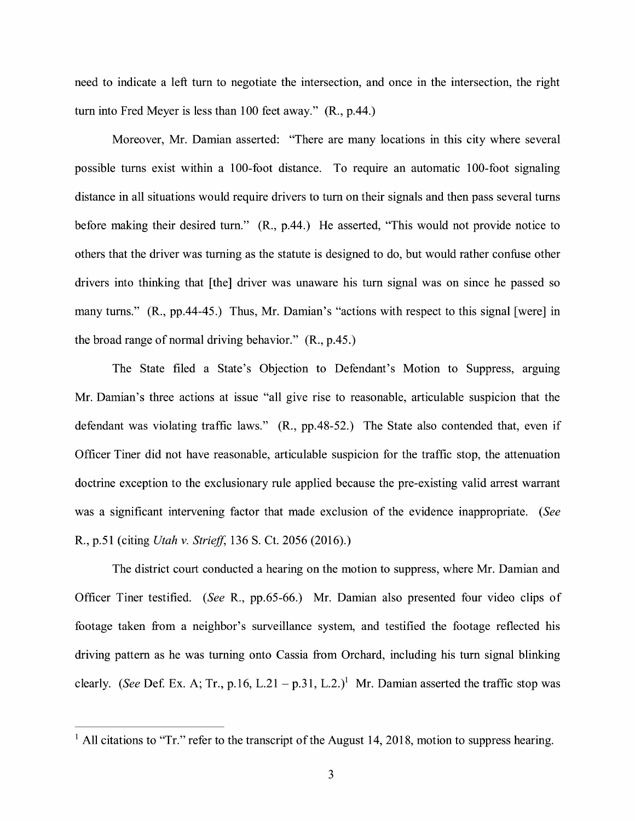need to indicate a left turn to negotiate the intersection, and once in the intersection, the right turn into Fred Meyer is less than 100 feet away." (R., p.44.)

Moreover, Mr. Damian asserted: "There are many locations in this city where several possible turns exist within a 100-foot distance. To require an automatic 100-foot signaling distance in all situations would require drivers to turn on their signals and then pass several turns before making their desired turn." **(R.,** p.44.) He asserted, "This would not provide notice to others that the driver was turning as the statute is designed to do, but would rather confuse other drivers into thinking that [the] driver was unaware his turn signal was on since he passed so many turns." **(R.,** pp.44-45.) Thus, Mr. Damian's "actions with respect to this signal [were] in the broad range of normal driving behavior." (R., p.45.)

The State filed a State's Objection to Defendant's Motion to Suppress, argumg Mr. Damian's three actions at issue "all give rise to reasonable, articulable suspicion that the defendant was violating traffic laws." **(R.,** pp.48-52.) The State also contended that, even if Officer Tiner did not have reasonable, articulable suspicion for the traffic stop, the attenuation doctrine exception to the exclusionary rule applied because the pre-existing valid arrest warrant was a significant intervening factor that made exclusion of the evidence inappropriate. (See R., p.51 ( citing *Utah v. Striejf,* 136 S. Ct. 2056 (2016).)

The district court conducted a hearing on the motion to suppress, where Mr. Damian and Officer Tiner testified. (See R., pp.65-66.) Mr. Damian also presented four video clips of footage taken from a neighbor's surveillance system, and testified the footage reflected his driving pattern as he was turning onto Cassia from Orchard, including his turn signal blinking clearly. (See Def. Ex. A; Tr., p.16, L.21 - p.31, L.2.)<sup>1</sup> Mr. Damian asserted the traffic stop was

<sup>&</sup>lt;sup>1</sup> All citations to "Tr." refer to the transcript of the August 14, 2018, motion to suppress hearing.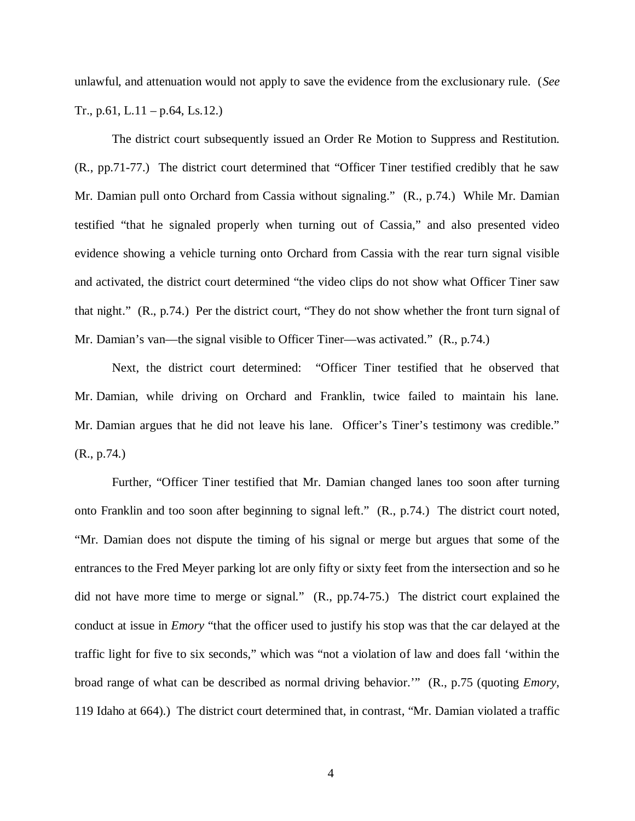unlawful, and attenuation would not apply to save the evidence from the exclusionary rule. (*See* Tr., p.61, L.11 – p.64, Ls.12.)

The district court subsequently issued an Order Re Motion to Suppress and Restitution. (R., pp.71-77.) The district court determined that "Officer Tiner testified credibly that he saw Mr. Damian pull onto Orchard from Cassia without signaling." (R., p.74.) While Mr. Damian testified "that he signaled properly when turning out of Cassia," and also presented video evidence showing a vehicle turning onto Orchard from Cassia with the rear turn signal visible and activated, the district court determined "the video clips do not show what Officer Tiner saw that night." (R., p.74.) Per the district court, "They do not show whether the front turn signal of Mr. Damian's van—the signal visible to Officer Tiner—was activated." (R., p.74.)

Next, the district court determined: "Officer Tiner testified that he observed that Mr. Damian, while driving on Orchard and Franklin, twice failed to maintain his lane. Mr. Damian argues that he did not leave his lane. Officer's Tiner's testimony was credible." (R., p.74.)

Further, "Officer Tiner testified that Mr. Damian changed lanes too soon after turning onto Franklin and too soon after beginning to signal left." (R., p.74.) The district court noted, "Mr. Damian does not dispute the timing of his signal or merge but argues that some of the entrances to the Fred Meyer parking lot are only fifty or sixty feet from the intersection and so he did not have more time to merge or signal." (R., pp.74-75.) The district court explained the conduct at issue in *Emory* "that the officer used to justify his stop was that the car delayed at the traffic light for five to six seconds," which was "not a violation of law and does fall 'within the broad range of what can be described as normal driving behavior.'" (R., p.75 (quoting *Emory*, 119 Idaho at 664).) The district court determined that, in contrast, "Mr. Damian violated a traffic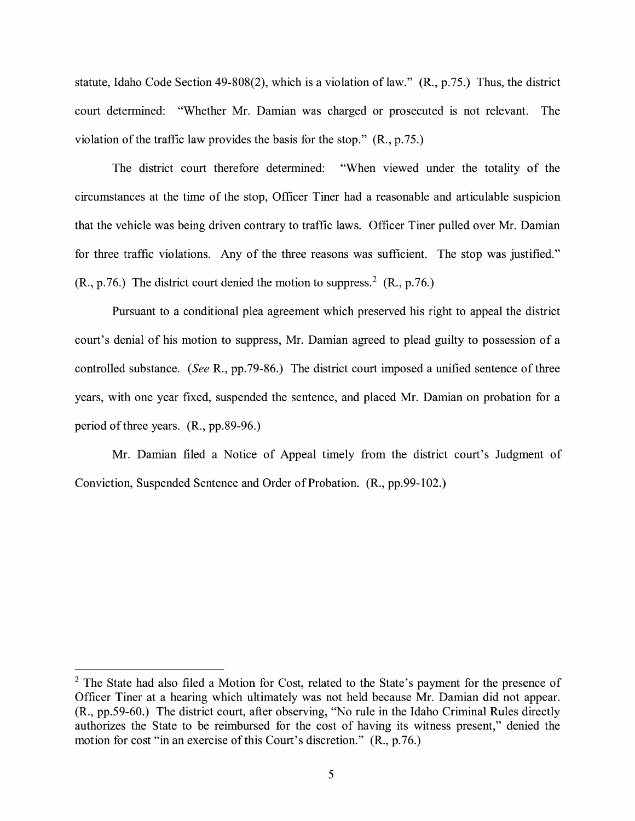statute, Idaho Code Section 49-808(2), which is a violation of law."  $(R., p.75.)$  Thus, the district court determined: "Whether Mr. Damian was charged or prosecuted is not relevant. The violation of the traffic law provides the basis for the stop." (R., p.75.)

The district court therefore determined: "When viewed under the totality of the circumstances at the time of the stop, Officer Tiner had a reasonable and articulable suspicion that the vehicle was being driven contrary to traffic laws. Officer Tiner pulled over Mr. Damian for three traffic violations. Any of the three reasons was sufficient. The stop was justified."  $(R., p.76.)$  The district court denied the motion to suppress.<sup>2</sup>  $(R., p.76.)$ 

Pursuant to a conditional plea agreement which preserved his right to appeal the district court's denial of his motion to suppress, Mr. Damian agreed to plead guilty to possession of a controlled substance. *(See* R., pp.79-86.) The district court imposed a unified sentence of three years, with one year fixed, suspended the sentence, and placed Mr. Damian on probation for a period of three years. **(R.,** pp.89-96.)

Mr. Damian filed a Notice of Appeal timely from the district court's Judgment of Conviction, Suspended Sentence and Order of Probation. (R., pp.99-102.)

 $2$  The State had also filed a Motion for Cost, related to the State's payment for the presence of Officer Tiner at a hearing which ultimately was not held because Mr. Damian did not appear. (R., pp.59-60.) The district court, after observing, "No rule in the Idaho Criminal Rules directly authorizes the State to be reimbursed for the cost of having its witness present," denied the motion for cost "in an exercise of this Court's discretion." (R., p.76.)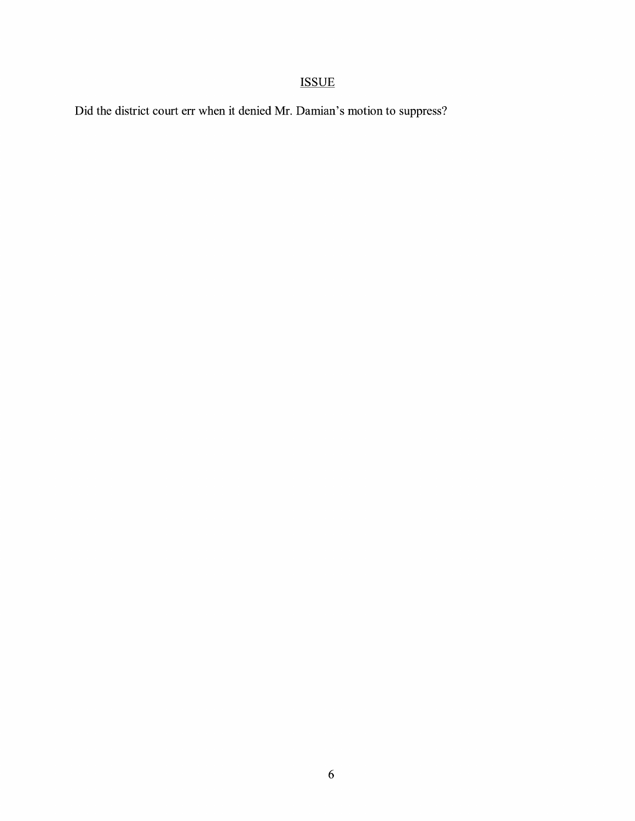# ISSUE

Did the district court err when it denied Mr. Damian's motion to suppress?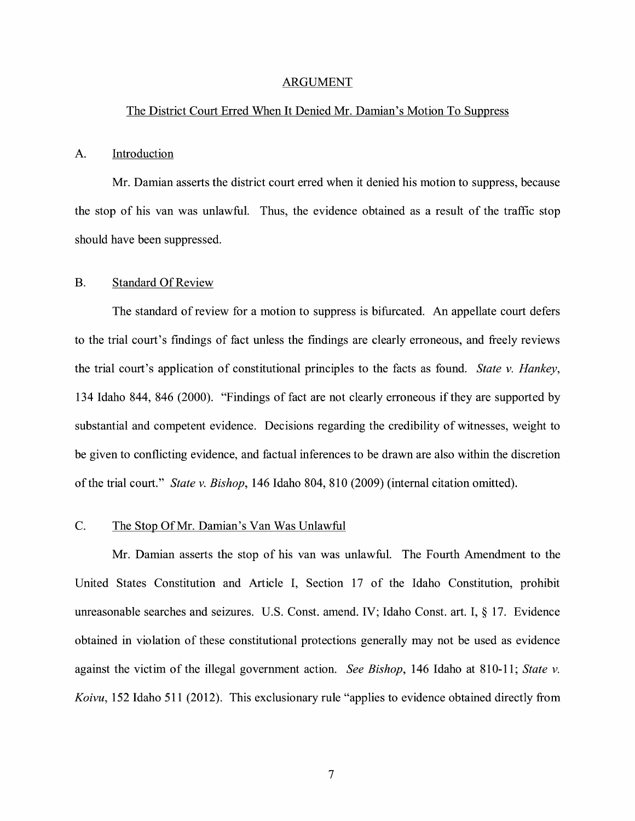#### ARGUMENT

#### The District Court Erred When It Denied Mr. Damian's Motion To Suppress

#### A. Introduction

Mr. Damian asserts the district court erred when it denied his motion to suppress, because the stop of his van was unlawful. Thus, the evidence obtained as a result of the traffic stop should have been suppressed.

#### B. Standard Of Review

The standard of review for a motion to suppress is bifurcated. An appellate court defers to the trial court's fmdings of fact unless the findings are clearly erroneous, and freely reviews the trial court's application of constitutional principles to the facts as found. *State v. Hankey,*  134 Idaho 844, 846 (2000). "Findings of fact are not clearly erroneous if they are supported by substantial and competent evidence. Decisions regarding the credibility of witnesses, weight to be given to conflicting evidence, and factual inferences to be drawn are also within the discretion of the trial court." *State v. Bishop,* 146 Idaho 804, 810 (2009) (internal citation omitted).

### C. The Stop OfMr. Damian's Van Was Unlawful

Mr. Damian asserts the stop of his van was unlawful. The Fourth Amendment to the United States Constitution and Article I, Section 17 of the Idaho Constitution, prohibit unreasonable searches and seizures. U.S. Const. amend. IV; Idaho Const. art. I, § 17. Evidence obtained in violation of these constitutional protections generally may not be used as evidence against the victim of the illegal government action. *See Bishop,* 146 Idaho at 810-11; *State v. Koivu,* 152 Idaho 511 (2012). This exclusionary rule "applies to evidence obtained directly from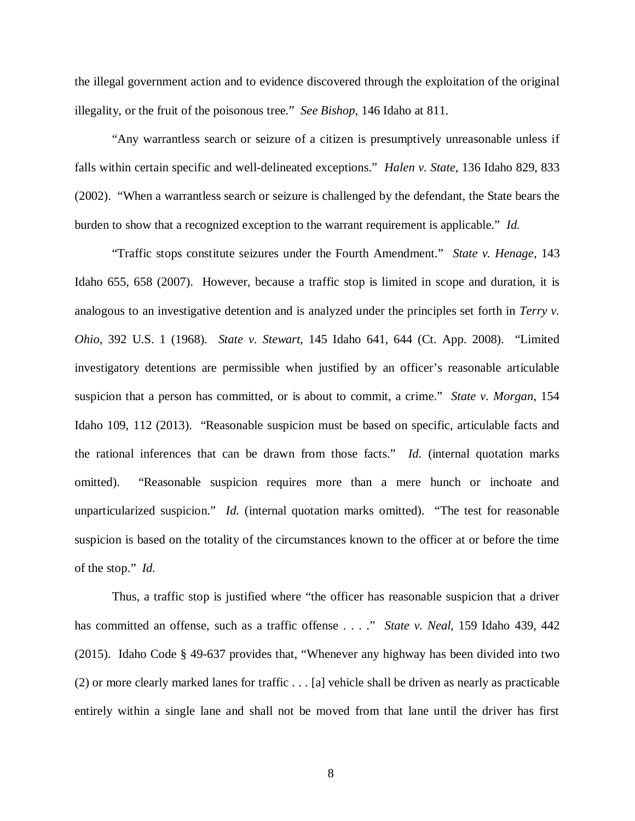the illegal government action and to evidence discovered through the exploitation of the original illegality, or the fruit of the poisonous tree." *See Bishop*, 146 Idaho at 811.

"Any warrantless search or seizure of a citizen is presumptively unreasonable unless if falls within certain specific and well-delineated exceptions." *Halen v. State*, 136 Idaho 829, 833 (2002). "When a warrantless search or seizure is challenged by the defendant, the State bears the burden to show that a recognized exception to the warrant requirement is applicable." *Id.*

"Traffic stops constitute seizures under the Fourth Amendment." *State v. Henage*, 143 Idaho 655, 658 (2007). However, because a traffic stop is limited in scope and duration, it is analogous to an investigative detention and is analyzed under the principles set forth in *Terry v. Ohio*, 392 U.S. 1 (1968). *State v. Stewart*, 145 Idaho 641, 644 (Ct. App. 2008). "Limited investigatory detentions are permissible when justified by an officer's reasonable articulable suspicion that a person has committed, or is about to commit, a crime." *State v. Morgan*, 154 Idaho 109, 112 (2013). "Reasonable suspicion must be based on specific, articulable facts and the rational inferences that can be drawn from those facts." *Id.* (internal quotation marks omitted). "Reasonable suspicion requires more than a mere hunch or inchoate and unparticularized suspicion." *Id.* (internal quotation marks omitted). "The test for reasonable suspicion is based on the totality of the circumstances known to the officer at or before the time of the stop." *Id.*

Thus, a traffic stop is justified where "the officer has reasonable suspicion that a driver has committed an offense, such as a traffic offense . . . ." *State v. Neal*, 159 Idaho 439, 442 (2015). Idaho Code § 49-637 provides that, "Whenever any highway has been divided into two (2) or more clearly marked lanes for traffic . . . [a] vehicle shall be driven as nearly as practicable entirely within a single lane and shall not be moved from that lane until the driver has first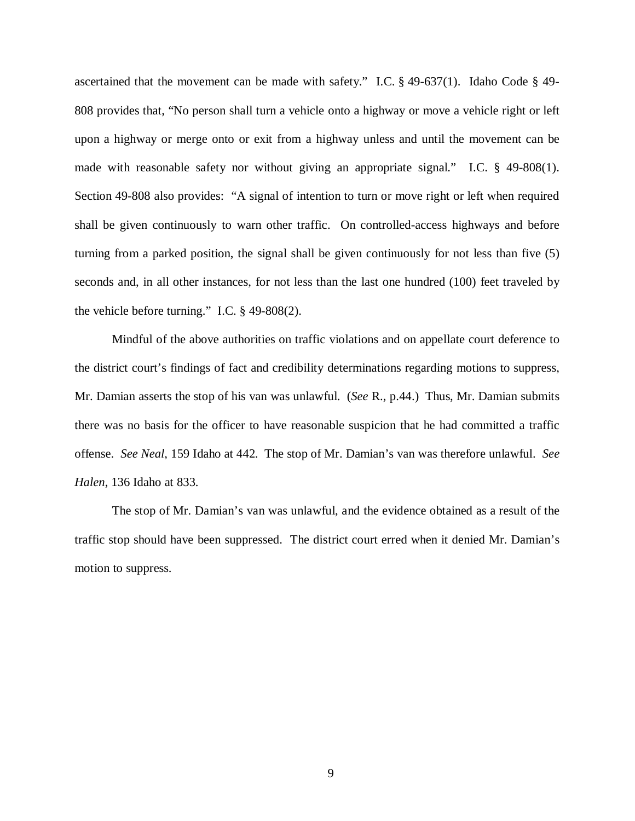ascertained that the movement can be made with safety." I.C. § 49-637(1). Idaho Code § 49- 808 provides that, "No person shall turn a vehicle onto a highway or move a vehicle right or left upon a highway or merge onto or exit from a highway unless and until the movement can be made with reasonable safety nor without giving an appropriate signal." I.C. § 49-808(1). Section 49-808 also provides: "A signal of intention to turn or move right or left when required shall be given continuously to warn other traffic. On controlled-access highways and before turning from a parked position, the signal shall be given continuously for not less than five (5) seconds and, in all other instances, for not less than the last one hundred (100) feet traveled by the vehicle before turning." I.C. § 49-808(2).

Mindful of the above authorities on traffic violations and on appellate court deference to the district court's findings of fact and credibility determinations regarding motions to suppress, Mr. Damian asserts the stop of his van was unlawful. (*See* R., p.44.) Thus, Mr. Damian submits there was no basis for the officer to have reasonable suspicion that he had committed a traffic offense. *See Neal*, 159 Idaho at 442. The stop of Mr. Damian's van was therefore unlawful. *See Halen*, 136 Idaho at 833.

The stop of Mr. Damian's van was unlawful, and the evidence obtained as a result of the traffic stop should have been suppressed. The district court erred when it denied Mr. Damian's motion to suppress.